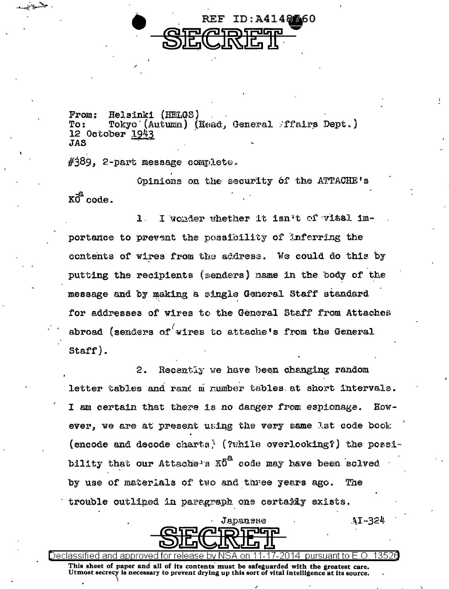

From: Helsinki (HELGS) Tokyo (Autumn) (Head, General Affairs Dept.)  $T<sub>O</sub>$ : 12 October 1943 **JAS** 

 $\#389$ , 2-part message complete.

∑⊶ ري ت

> Opinions on the security of the ATTACHE's  $K\overline{0}^2$  code.

I wonder whether it isn't of vital im-1. portance to prevent the possibility of inferring the contents of wires from the address. We could do this by putting the recipients (senders) name in the body of the message and by making a single General Staff standard for addresses of wires to the General Staff from Attaches abroad (senders of wires to attache's from the General Staff).

 $2.$ Recently we have been changing random letter tables and rand m number tables at short intervals. I am certain that there is no danger from espionage.  $Row$ ever, we are at present using the very same lat code book (encode and decode charts) (?while overlooking?) the possibility that our Attache's  $X\ddot{0}^{\alpha}$  code may have been solved by use of materials of two and three years ago. The trouble outlined in paragraph one certably exists.



 $31 - 324$ 

13521

Declassified and This sheet of paper and all of its contents must be safeguarded with the greatest care. Utmost secrecy is necessary to prevent drying up this sort of vital intelligence at its source.